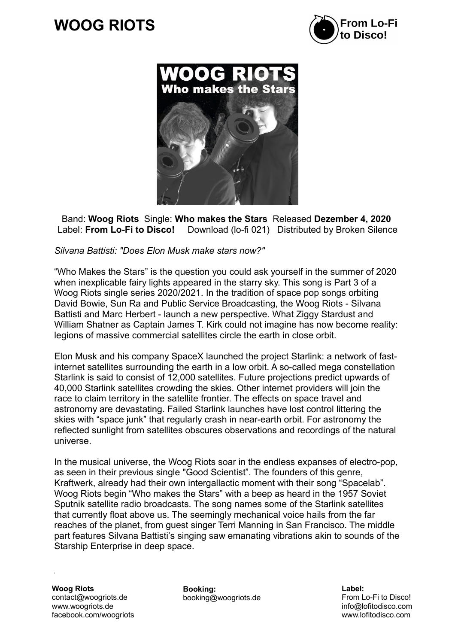## $\overline{a}$ **WOOG RIOTS**





Band: **Woog Riots** Single: **Who makes the Stars** Released **Dezember 4, 2020**  Label: **From Lo-Fi to Disco!** Download (lo-fi 021) Distributed by Broken Silence

## *Silvana Battisti: "Does Elon Musk make stars now?"*

"Who Makes the Stars" is the question you could ask yourself in the summer of 2020 when inexplicable fairy lights appeared in the starry sky. This song is Part 3 of a Woog Riots single series 2020/2021. In the tradition of space pop songs orbiting David Bowie, Sun Ra and Public Service Broadcasting, the Woog Riots - Silvana Battisti and Marc Herbert - launch a new perspective. What Ziggy Stardust and William Shatner as Captain James T. Kirk could not imagine has now become reality: legions of massive commercial satellites circle the earth in close orbit.

Elon Musk and his company SpaceX launched the project Starlink: a network of fastinternet satellites surrounding the earth in a low orbit. A so-called mega constellation Starlink is said to consist of 12,000 satellites. Future projections predict upwards of 40,000 Starlink satellites crowding the skies. Other internet providers will join the race to claim territory in the satellite frontier. The effects on space travel and astronomy are devastating. Failed Starlink launches have lost control littering the skies with "space junk" that regularly crash in near-earth orbit. For astronomy the reflected sunlight from satellites obscures observations and recordings of the natural universe.

In the musical universe, the Woog Riots soar in the endless expanses of electro-pop, as seen in their previous single "Good Scientist". The founders of this genre, Kraftwerk, already had their own intergallactic moment with their song "Spacelab". Woog Riots begin "Who makes the Stars" with a beep as heard in the 1957 Soviet Sputnik satellite radio broadcasts. The song names some of the Starlink satellites that currently float above us. The seemingly mechanical voice hails from the far reaches of the planet, from guest singer Terri Manning in San Francisco. The middle part features Silvana Battisti's singing saw emanating vibrations akin to sounds of the Starship Enterprise in deep space.

**Woog Riots** contact@woogriots.de www.woogriots.de facebook.com/woogriots

**Booking:** booking@woogriots.de **Label:** From Lo-Fi to Disco! info@lofitodisco.com www.lofitodisco.com